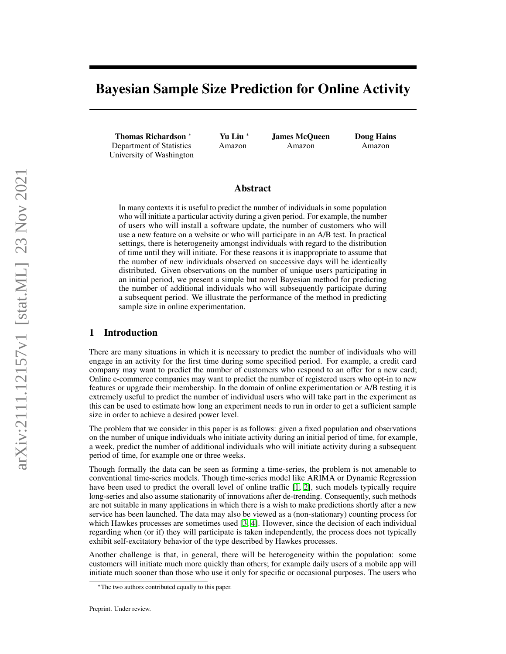# Bayesian Sample Size Prediction for Online Activity

Thomas Richardson <sup>∗</sup> Department of Statistics University of Washington Yu Liu <sup>∗</sup> Amazon

James McQueen Amazon

Doug Hains Amazon

## Abstract

In many contexts it is useful to predict the number of individuals in some population who will initiate a particular activity during a given period. For example, the number of users who will install a software update, the number of customers who will use a new feature on a website or who will participate in an A/B test. In practical settings, there is heterogeneity amongst individuals with regard to the distribution of time until they will initiate. For these reasons it is inappropriate to assume that the number of new individuals observed on successive days will be identically distributed. Given observations on the number of unique users participating in an initial period, we present a simple but novel Bayesian method for predicting the number of additional individuals who will subsequently participate during a subsequent period. We illustrate the performance of the method in predicting sample size in online experimentation.

#### 1 Introduction

There are many situations in which it is necessary to predict the number of individuals who will engage in an activity for the first time during some specified period. For example, a credit card company may want to predict the number of customers who respond to an offer for a new card; Online e-commerce companies may want to predict the number of registered users who opt-in to new features or upgrade their membership. In the domain of online experimentation or A/B testing it is extremely useful to predict the number of individual users who will take part in the experiment as this can be used to estimate how long an experiment needs to run in order to get a sufficient sample size in order to achieve a desired power level.

The problem that we consider in this paper is as follows: given a fixed population and observations on the number of unique individuals who initiate activity during an initial period of time, for example, a week, predict the number of additional individuals who will initiate activity during a subsequent period of time, for example one or three weeks.

Though formally the data can be seen as forming a time-series, the problem is not amenable to conventional time-series models. Though time-series model like ARIMA or Dynamic Regression have been used to predict the overall level of online traffic [\[1,](#page-10-0) [2\]](#page-10-1), such models typically require long-series and also assume stationarity of innovations after de-trending. Consequently, such methods are not suitable in many applications in which there is a wish to make predictions shortly after a new service has been launched. The data may also be viewed as a (non-stationary) counting process for which Hawkes processes are sometimes used [\[3,](#page-10-2) [4\]](#page-10-3). However, since the decision of each individual regarding when (or if) they will participate is taken independently, the process does not typically exhibit self-excitatory behavior of the type described by Hawkes processes.

Another challenge is that, in general, there will be heterogeneity within the population: some customers will initiate much more quickly than others; for example daily users of a mobile app will initiate much sooner than those who use it only for specific or occasional purposes. The users who

<sup>∗</sup>The two authors contributed equally to this paper.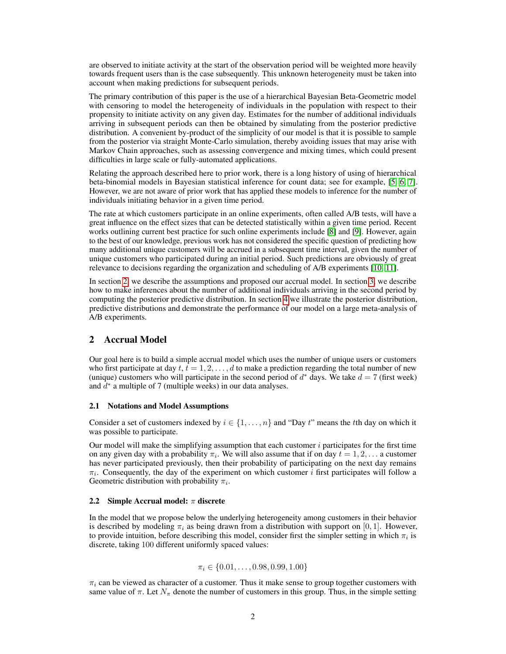are observed to initiate activity at the start of the observation period will be weighted more heavily towards frequent users than is the case subsequently. This unknown heterogeneity must be taken into account when making predictions for subsequent periods.

The primary contribution of this paper is the use of a hierarchical Bayesian Beta-Geometric model with censoring to model the heterogeneity of individuals in the population with respect to their propensity to initiate activity on any given day. Estimates for the number of additional individuals arriving in subsequent periods can then be obtained by simulating from the posterior predictive distribution. A convenient by-product of the simplicity of our model is that it is possible to sample from the posterior via straight Monte-Carlo simulation, thereby avoiding issues that may arise with Markov Chain approaches, such as assessing convergence and mixing times, which could present difficulties in large scale or fully-automated applications.

Relating the approach described here to prior work, there is a long history of using of hierarchical beta-binomial models in Bayesian statistical inference for count data; see for example, [\[5,](#page-10-4) [6,](#page-10-5) [7\]](#page-10-6). However, we are not aware of prior work that has applied these models to inference for the number of individuals initiating behavior in a given time period.

The rate at which customers participate in an online experiments, often called A/B tests, will have a great influence on the effect sizes that can be detected statistically within a given time period. Recent works outlining current best practice for such online experiments include [\[8\]](#page-10-7) and [\[9\]](#page-10-8). However, again to the best of our knowledge, previous work has not considered the specific question of predicting how many additional unique customers will be accrued in a subsequent time interval, given the number of unique customers who participated during an initial period. Such predictions are obviously of great relevance to decisions regarding the organization and scheduling of A/B experiments [\[10,](#page-10-9) [11\]](#page-10-10).

In section [2,](#page-1-0) we describe the assumptions and proposed our accrual model. In section [3,](#page-3-0) we describe how to make inferences about the number of additional individuals arriving in the second period by computing the posterior predictive distribution. In section [4](#page-6-0) we illustrate the posterior distribution, predictive distributions and demonstrate the performance of our model on a large meta-analysis of A/B experiments.

# <span id="page-1-0"></span>2 Accrual Model

Our goal here is to build a simple accrual model which uses the number of unique users or customers who first participate at day  $t, t = 1, 2, \ldots, d$  to make a prediction regarding the total number of new (unique) customers who will participate in the second period of  $d^*$  days. We take  $d = 7$  (first week) and  $d^*$  a multiple of 7 (multiple weeks) in our data analyses.

#### <span id="page-1-2"></span>2.1 Notations and Model Assumptions

Consider a set of customers indexed by  $i \in \{1, \ldots, n\}$  and "Day t" means the tth day on which it was possible to participate.

Our model will make the simplifying assumption that each customer  $i$  participates for the first time on any given day with a probability  $\pi_i$ . We will also assume that if on day  $t = 1, 2, \ldots$  a customer has never participated previously, then their probability of participating on the next day remains  $\pi_i$ . Consequently, the day of the experiment on which customer i first participates will follow a Geometric distribution with probability  $\pi_i$ .

#### <span id="page-1-1"></span>2.2 Simple Accrual model:  $\pi$  discrete

In the model that we propose below the underlying heterogeneity among customers in their behavior is described by modeling  $\pi_i$  as being drawn from a distribution with support on [0, 1]. However, to provide intuition, before describing this model, consider first the simpler setting in which  $\pi_i$  is discrete, taking 100 different uniformly spaced values:

$$
\pi_i \in \{0.01, \ldots, 0.98, 0.99, 1.00\}
$$

 $\pi_i$  can be viewed as character of a customer. Thus it make sense to group together customers with same value of  $\pi$ . Let  $N_{\pi}$  denote the number of customers in this group. Thus, in the simple setting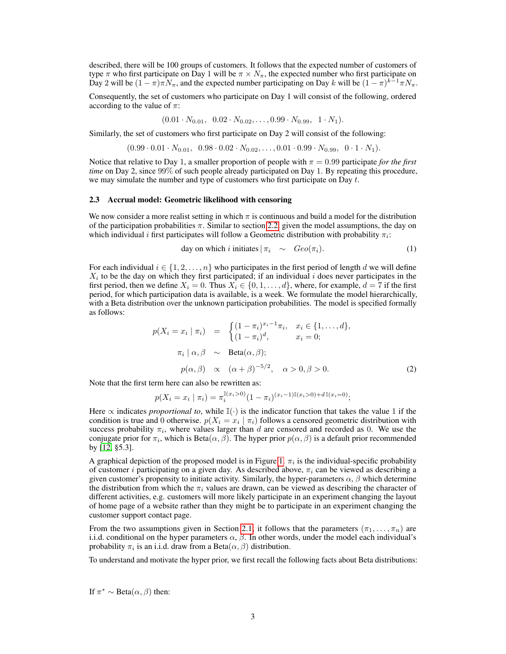described, there will be 100 groups of customers. It follows that the expected number of customers of type  $\pi$  who first participate on Day 1 will be  $\pi \times N_{\pi}$ , the expected number who first participate on Day 2 will be  $(1 - \pi)\pi N_{\pi}$ , and the expected number participating on Day k will be  $(1 - \pi)^{k-1}\pi N_{\pi}$ .

Consequently, the set of customers who participate on Day 1 will consist of the following, ordered according to the value of  $\pi$ :

$$
(0.01 \cdot N_{0.01}, 0.02 \cdot N_{0.02}, \ldots, 0.99 \cdot N_{0.99}, 1 \cdot N_1).
$$

Similarly, the set of customers who first participate on Day 2 will consist of the following:

 $(0.99 \cdot 0.01 \cdot N_{0.01}, 0.98 \cdot 0.02 \cdot N_{0.02}, \ldots, 0.01 \cdot 0.99 \cdot N_{0.99}, 0 \cdot 1 \cdot N_1).$ 

Notice that relative to Day 1, a smaller proportion of people with  $\pi = 0.99$  participate *for the first time* on Day 2, since 99% of such people already participated on Day 1. By repeating this procedure, we may simulate the number and type of customers who first participate on Day  $t$ .

#### 2.3 Accrual model: Geometric likelihood with censoring

We now consider a more realist setting in which  $\pi$  is continuous and build a model for the distribution of the participation probabilities  $\pi$ . Similar to section [2.2,](#page-1-1) given the model assumptions, the day on which individual i first participates will follow a Geometric distribution with probability  $\pi_i$ :

day on which *i* initiates 
$$
|\pi_i \sim \text{Geo}(\pi_i).
$$
 (1)

For each individual  $i \in \{1, 2, \ldots, n\}$  who participates in the first period of length d we will define  $X_i$  to be the day on which they first participated; if an individual i does never participates in the first period, then we define  $X_i = 0$ . Thus  $X_i \in \{0, 1, \ldots, d\}$ , where, for example,  $d = 7$  if the first period, for which participation data is available, is a week. We formulate the model hierarchically, with a Beta distribution over the unknown participation probabilities. The model is specified formally as follows:

<span id="page-2-0"></span>
$$
p(X_i = x_i \mid \pi_i) = \begin{cases} (1 - \pi_i)^{x_i - 1} \pi_i, & x_i \in \{1, \dots, d\}, \\ (1 - \pi_i)^d, & x_i = 0; \end{cases}
$$

$$
\pi_i \mid \alpha, \beta \sim \text{Beta}(\alpha, \beta);
$$

$$
p(\alpha, \beta) \propto (\alpha + \beta)^{-5/2}, \quad \alpha > 0, \beta > 0.
$$
 (2)

Note that the first term here can also be rewritten as:

$$
p(X_i = x_i \mid \pi_i) = \pi_i^{\mathbb{I}(x_i > 0)} (1 - \pi_i)^{(x_i - 1)\mathbb{I}(x_i > 0) + d\mathbb{I}(x_i = 0)};
$$

Here  $\propto$  indicates *proportional to*, while  $\mathbb{I}(\cdot)$  is the indicator function that takes the value 1 if the condition is true and 0 otherwise.  $p(X_i = x_i | \pi_i)$  follows a censored geometric distribution with success probability  $\pi_i$ , where values larger than d are censored and recorded as 0. We use the conjugate prior for  $\pi_i$ , which is  $Beta(\alpha, \beta)$ . The hyper prior  $p(\alpha, \beta)$  is a default prior recommended by [\[12,](#page-10-11) §5.3].

A graphical depiction of the proposed model is in Figure [1.](#page-3-1)  $\pi_i$  is the individual-specific probability of customer *i* participating on a given day. As described above,  $\pi_i$  can be viewed as describing a given customer's propensity to initiate activity. Similarly, the hyper-parameters  $\alpha$ ,  $\beta$  which determine the distribution from which the  $\pi_i$  values are drawn, can be viewed as describing the character of different activities, e.g. customers will more likely participate in an experiment changing the layout of home page of a website rather than they might be to participate in an experiment changing the customer support contact page.

From the two assumptions given in Section [2.1,](#page-1-2) it follows that the parameters  $(\pi_1, \ldots, \pi_n)$  are i.i.d. conditional on the hyper parameters  $\alpha$ ,  $\beta$ . In other words, under the model each individual's probability  $\pi_i$  is an i.i.d. draw from a Beta $(\alpha, \beta)$  distribution.

To understand and motivate the hyper prior, we first recall the following facts about Beta distributions:

If  $\pi^* \sim \text{Beta}(\alpha, \beta)$  then: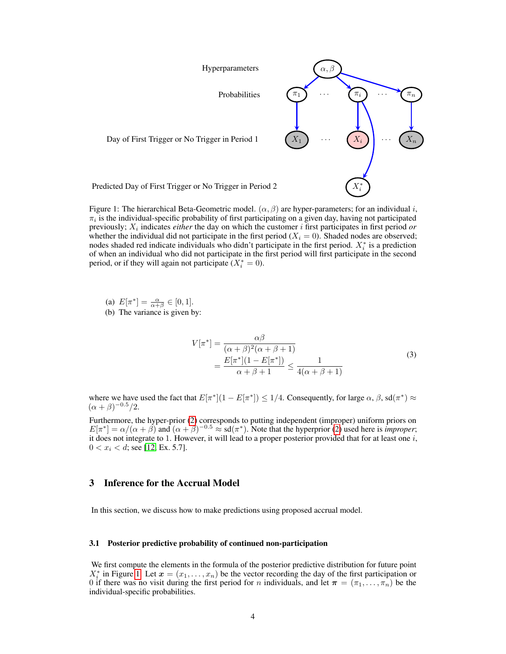<span id="page-3-1"></span>

Figure 1: The hierarchical Beta-Geometric model. ( $\alpha$ ,  $\beta$ ) are hyper-parameters; for an individual i,  $\pi_i$  is the individual-specific probability of first participating on a given day, having not participated previously;  $X_i$  indicates *either* the day on which the customer *i* first participates in first period *or* whether the individual did not participate in the first period  $(X<sub>i</sub> = 0)$ . Shaded nodes are observed; nodes shaded red indicate individuals who didn't participate in the first period.  $X_i^*$  is a prediction of when an individual who did not participate in the first period will first participate in the second period, or if they will again not participate  $(X_i^* = 0)$ .

(a)  $E[\pi^*] = \frac{\alpha}{\alpha + \beta} \in [0, 1].$ 

(b) The variance is given by:

$$
V[\pi^*] = \frac{\alpha \beta}{(\alpha + \beta)^2 (\alpha + \beta + 1)}
$$
  
= 
$$
\frac{E[\pi^*](1 - E[\pi^*])}{\alpha + \beta + 1} \le \frac{1}{4(\alpha + \beta + 1)}
$$
 (3)

where we have used the fact that  $E[\pi^*](1 - E[\pi^*]) \leq 1/4$ . Consequently, for large  $\alpha$ ,  $\beta$ , sd $(\pi^*) \approx$  $(\alpha + \beta)^{-0.5}/2.$ 

Furthermore, the hyper-prior [\(2\)](#page-2-0) corresponds to putting independent (improper) uniform priors on  $E[\pi^*] = \alpha/(\alpha + \beta)$  and  $(\alpha + \beta)^{-0.5} \approx \text{sd}(\pi^*)$ . Note that the hyperprior [\(2\)](#page-2-0) used here is *improper*; it does not integrate to 1. However, it will lead to a proper posterior provided that for at least one  $i$ ,  $0 < x_i < d$ ; see [\[12,](#page-10-11) Ex. 5.7].

# <span id="page-3-0"></span>3 Inference for the Accrual Model

In this section, we discuss how to make predictions using proposed accrual model.

#### <span id="page-3-2"></span>3.1 Posterior predictive probability of continued non-participation

We first compute the elements in the formula of the posterior predictive distribution for future point  $X_i^*$  in Figure [1.](#page-3-1) Let  $\mathbf{x} = (x_1, \ldots, x_n)$  be the vector recording the day of the first participation or 0 if there was no visit during the first period for *n* individuals, and let  $\pi = (\pi_1, \dots, \pi_n)$  be the individual-specific probabilities.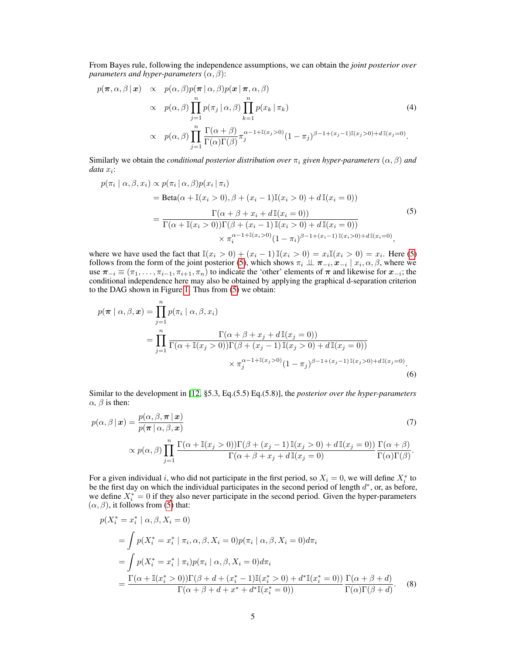From Bayes rule, following the independence assumptions, we can obtain the *joint posterior over parameters and hyper-parameters*  $(\alpha, \beta)$ :

<span id="page-4-1"></span>
$$
p(\pi, \alpha, \beta | \mathbf{x}) \propto p(\alpha, \beta) p(\pi | \alpha, \beta) p(\mathbf{x} | \pi, \alpha, \beta)
$$
  
 
$$
\propto p(\alpha, \beta) \prod_{j=1}^{n} p(\pi_j | \alpha, \beta) \prod_{k=1}^{n} p(x_k | \pi_k)
$$
  
 
$$
\propto p(\alpha, \beta) \prod_{j=1}^{n} \frac{\Gamma(\alpha + \beta)}{\Gamma(\alpha) \Gamma(\beta)} \pi_j^{\alpha - 1 + \mathbb{I}(x_j > 0)} (1 - \pi_j)^{\beta - 1 + (x_j - 1)\mathbb{I}(x_j > 0) + d\mathbb{I}(x_j = 0)}.
$$
 (4)

Similarly we obtain the *conditional posterior distribution over*  $\pi_i$  *given hyper-parameters* ( $\alpha$ ,  $\beta$ ) *and*  $data x_i$ :

<span id="page-4-0"></span>
$$
p(\pi_i | \alpha, \beta, x_i) \propto p(\pi_i | \alpha, \beta) p(x_i | \pi_i)
$$
  
= Beta( $\alpha + \mathbb{I}(x_i > 0), \beta + (x_i - 1)\mathbb{I}(x_i > 0) + d\mathbb{I}(x_i = 0)$ )  
= 
$$
\frac{\Gamma(\alpha + \beta + x_i + d\mathbb{I}(x_i = 0))}{\Gamma(\alpha + \mathbb{I}(x_i > 0))\Gamma(\beta + (x_i - 1)\mathbb{I}(x_i > 0) + d\mathbb{I}(x_i = 0))}
$$

$$
\times \pi_i^{\alpha - 1 + \mathbb{I}(x_i > 0)} (1 - \pi_i)^{\beta - 1 + (x_i - 1)\mathbb{I}(x_i > 0) + d\mathbb{I}(x_i = 0)},
$$
(5)

where we have used the fact that  $\mathbb{I}(x_i > 0) + (x_i - 1)\mathbb{I}(x_i > 0) = x_i\mathbb{I}(x_i > 0) = x_i$ . Here [\(5\)](#page-4-0) follows from the form of the joint posterior [\(5\)](#page-4-1), which shows  $\pi_i \perp \!\!\! \perp \pi_{-i}, x_{-i} \mid x_i, \alpha, \beta$ , where we use  $\pi_{-i} \equiv (\pi_1, \ldots, \pi_{i-1}, \pi_{i+1}, \pi_n)$  to indicate the 'other' elements of  $\pi$  and likewise for  $x_{-i}$ ; the conditional independence here may also be obtained by applying the graphical d-separation criterion to the DAG shown in Figure [1.](#page-3-1) Thus from [\(5\)](#page-4-0) we obtain:

$$
p(\pi | \alpha, \beta, x) = \prod_{j=1}^{n} p(\pi_i | \alpha, \beta, x_i)
$$
  
= 
$$
\prod_{j=1}^{n} \frac{\Gamma(\alpha + \beta + x_j + d\mathbb{I}(x_j = 0))}{\Gamma(\alpha + \mathbb{I}(x_j > 0))\Gamma(\beta + (x_j - 1)\mathbb{I}(x_j > 0) + d\mathbb{I}(x_j = 0))}
$$
  
\$\times \pi\_j^{\alpha - 1 + \mathbb{I}(x\_j > 0)}(1 - \pi\_j)^{\beta - 1 + (x\_j - 1)\mathbb{I}(x\_j > 0) + d\mathbb{I}(x\_j = 0)}\$ (6)

Similar to the development in [\[12,](#page-10-11) §5.3, Eq.(5.5) Eq.(5.8)], the *posterior over the hyper-parameters*  $\alpha$ ,  $\beta$  is then:

<span id="page-4-2"></span>
$$
p(\alpha, \beta | \mathbf{x}) = \frac{p(\alpha, \beta, \pi | \mathbf{x})}{p(\pi | \alpha, \beta, \mathbf{x})}
$$
(7)  

$$
\propto p(\alpha, \beta) \prod_{j=1}^{n} \frac{\Gamma(\alpha + \mathbb{I}(x_j > 0))\Gamma(\beta + (x_j - 1) \mathbb{I}(x_j > 0) + d\mathbb{I}(x_j = 0))}{\Gamma(\alpha + \beta + x_j + d\mathbb{I}(x_j = 0)} \frac{\Gamma(\alpha + \beta)}{\Gamma(\alpha)\Gamma(\beta)}.
$$

For a given individual i, who did not participate in the first period, so  $X_i = 0$ , we will define  $X_i^*$  to be the first day on which the individual participates in the second period of length  $d^*$ , or, as before, we define  $X_i^* = 0$  if they also never participate in the second period. Given the hyper-parameters  $(\alpha, \beta)$ , it follows from [\(5\)](#page-4-0) that:

$$
p(X_i^* = x_i^* | \alpha, \beta, X_i = 0)
$$
  
= 
$$
\int p(X_i^* = x_i^* | \pi_i, \alpha, \beta, X_i = 0) p(\pi_i | \alpha, \beta, X_i = 0) d\pi_i
$$
  
= 
$$
\int p(X_i^* = x_i^* | \pi_i) p(\pi_i | \alpha, \beta, X_i = 0) d\pi_i
$$
  
= 
$$
\frac{\Gamma(\alpha + \mathbb{I}(x_i^* > 0)) \Gamma(\beta + d + (x_i^* - 1) \mathbb{I}(x_i^* > 0) + d^* \mathbb{I}(x_i^* = 0))}{\Gamma(\alpha + \beta + d + x^* + d^* \mathbb{I}(x_i^* = 0))} \frac{\Gamma(\alpha + \beta + d)}{\Gamma(\alpha) \Gamma(\beta + d)}.
$$
 (8)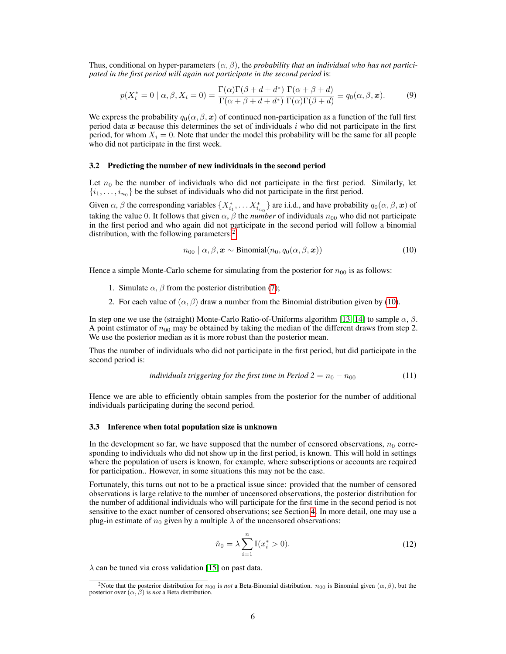Thus, conditional on hyper-parameters  $(\alpha, \beta)$ , the *probability that an individual who has not participated in the first period will again not participate in the second period* is:

$$
p(X_i^* = 0 \mid \alpha, \beta, X_i = 0) = \frac{\Gamma(\alpha)\Gamma(\beta + d + d^*)}{\Gamma(\alpha + \beta + d + d^*)} \frac{\Gamma(\alpha + \beta + d)}{\Gamma(\alpha)\Gamma(\beta + d)} \equiv q_0(\alpha, \beta, \mathbf{x}).
$$
 (9)

We express the probability  $q_0(\alpha, \beta, x)$  of continued non-participation as a function of the full first period data x because this determines the set of individuals  $i$  who did not participate in the first period, for whom  $X_i = 0$ . Note that under the model this probability will be the same for all people who did not participate in the first week.

#### 3.2 Predicting the number of new individuals in the second period

Let  $n_0$  be the number of individuals who did not participate in the first period. Similarly, let  $\{i_1, \ldots, i_{n_0}\}$  be the subset of individuals who did not participate in the first period.

Given  $\alpha$ ,  $\beta$  the corresponding variables  $\{X_{i_1}^*,\dots X_{i_{n_0}}^*\}$  are i.i.d., and have probability  $q_0(\alpha,\beta,\mathbf{x})$  of taking the value 0. It follows that given  $\alpha$ ,  $\beta$  the *number* of individuals  $n_{00}$  who did not participate in the first period and who again did not participate in the second period will follow a binomial distribution, with the following parameters:<sup>[2](#page-5-0)</sup>

<span id="page-5-3"></span><span id="page-5-1"></span>
$$
n_{00} | \alpha, \beta, \mathbf{x} \sim \text{Binomial}(n_0, q_0(\alpha, \beta, \mathbf{x})) \tag{10}
$$

Hence a simple Monte-Carlo scheme for simulating from the posterior for  $n_{00}$  is as follows:

- 1. Simulate  $\alpha$ ,  $\beta$  from the posterior distribution [\(7\)](#page-4-2);
- 2. For each value of  $(\alpha, \beta)$  draw a number from the Binomial distribution given by [\(10\)](#page-5-1).

In step one we use the (straight) Monte-Carlo Ratio-of-Uniforms algorithm [\[13,](#page-10-12) [14\]](#page-10-13) to sample  $\alpha$ ,  $\beta$ . A point estimator of  $n_{00}$  may be obtained by taking the median of the different draws from step 2. We use the posterior median as it is more robust than the posterior mean.

Thus the number of individuals who did not participate in the first period, but did participate in the second period is:

individuals triggering for the first time in Period 
$$
2 = n_0 - n_{00}
$$
 (11)

Hence we are able to efficiently obtain samples from the posterior for the number of additional individuals participating during the second period.

#### 3.3 Inference when total population size is unknown

In the development so far, we have supposed that the number of censored observations,  $n_0$  corresponding to individuals who did not show up in the first period, is known. This will hold in settings where the population of users is known, for example, where subscriptions or accounts are required for participation.. However, in some situations this may not be the case.

Fortunately, this turns out not to be a practical issue since: provided that the number of censored observations is large relative to the number of uncensored observations, the posterior distribution for the number of additional individuals who will participate for the first time in the second period is not sensitive to the exact number of censored observations; see Section [4.](#page-6-0) In more detail, one may use a plug-in estimate of  $n_0$  given by a multiple  $\lambda$  of the uncensored observations:

<span id="page-5-2"></span>
$$
\hat{n}_0 = \lambda \sum_{i=1}^n \mathbb{I}(x_i^* > 0).
$$
 (12)

 $\lambda$  can be tuned via cross validation [\[15\]](#page-10-14) on past data.

<span id="page-5-0"></span><sup>&</sup>lt;sup>2</sup>Note that the posterior distribution for  $n_{00}$  is *not* a Beta-Binomial distribution.  $n_{00}$  is Binomial given  $(\alpha, \beta)$ , but the posterior over  $(\alpha, \beta)$  is *not* a Beta distribution.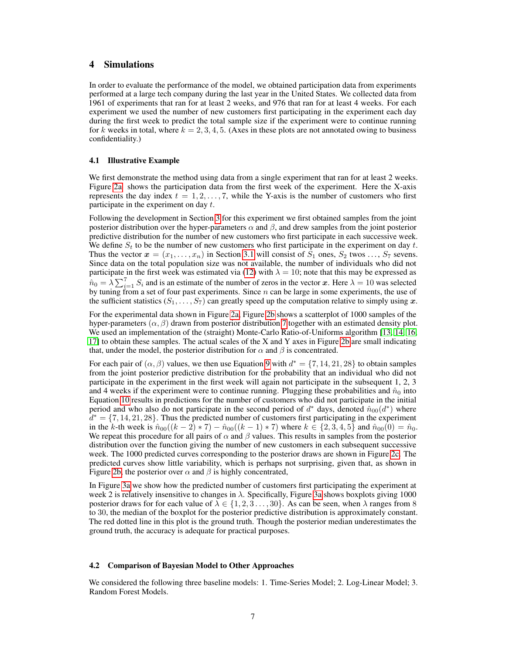## <span id="page-6-0"></span>4 Simulations

In order to evaluate the performance of the model, we obtained participation data from experiments performed at a large tech company during the last year in the United States. We collected data from 1961 of experiments that ran for at least 2 weeks, and 976 that ran for at least 4 weeks. For each experiment we used the number of new customers first participating in the experiment each day during the first week to predict the total sample size if the experiment were to continue running for k weeks in total, where  $k = 2, 3, 4, 5$ . (Axes in these plots are not annotated owing to business confidentiality.)

#### 4.1 Illustrative Example

We first demonstrate the method using data from a single experiment that ran for at least 2 weeks. Figure [2a](#page-7-0) shows the participation data from the first week of the experiment. Here the X-axis represents the day index  $t = 1, 2, \ldots, 7$ , while the Y-axis is the number of customers who first participate in the experiment on day  $t$ .

Following the development in Section [3](#page-3-0) for this experiment we first obtained samples from the joint posterior distribution over the hyper-parameters  $\alpha$  and  $\beta$ , and drew samples from the joint posterior predictive distribution for the number of new customers who first participate in each successive week. We define  $S_t$  to be the number of new customers who first participate in the experiment on day t. Thus the vector  $x = (x_1, \ldots, x_n)$  in Section [3.1](#page-3-2) will consist of  $S_1$  ones,  $S_2$  twos  $\ldots, S_7$  sevens. Since data on the total population size was not available, the number of individuals who did not participate in the first week was estimated via [\(12\)](#page-5-2) with  $\lambda = 10$ ; note that this may be expressed as  $\hat{n}_0 = \lambda \sum_{i=1}^7 S_i$  and is an estimate of the number of zeros in the vector x. Here  $\lambda = 10$  was selected by tuning from a set of four past experiments. Since  $n$  can be large in some experiments, the use of the sufficient statistics  $(S_1, \ldots, S_7)$  can greatly speed up the computation relative to simply using x.

For the experimental data shown in Figure [2a,](#page-7-0) Figure [2b](#page-7-0) shows a scatterplot of 1000 samples of the hyper-parameters ( $\alpha$ ,  $\beta$ ) drawn from posterior distribution [7](#page-4-2) together with an estimated density plot. We used an implementation of the (straight) Monte-Carlo Ratio-of-Uniforms algorithm [\[13,](#page-10-12) [14,](#page-10-13) [16,](#page-10-15) [17\]](#page-10-16) to obtain these samples. The actual scales of the X and Y axes in Figure [2b](#page-7-0) are small indicating that, under the model, the posterior distribution for  $\alpha$  and  $\beta$  is concentrated.

For each pair of  $(\alpha, \beta)$  values, we then use Equation [9](#page-5-3) with  $d^* = \{7, 14, 21, 28\}$  to obtain samples from the joint posterior predictive distribution for the probability that an individual who did not participate in the experiment in the first week will again not participate in the subsequent 1, 2, 3 and 4 weeks if the experiment were to continue running. Plugging these probabilities and  $\hat{n}_0$  into Equation [10](#page-5-1) results in predictions for the number of customers who did not participate in the initial period and who also do not participate in the second period of  $d^*$  days, denoted  $\hat{n}_{00}(d^*)$  where  $d^* = \{7, 14, 21, 28\}$ . Thus the predicted number of customers first participating in the experiment in the k-th week is  $\hat{n}_{00}((k-2)*7) - \hat{n}_{00}((k-1)*7)$  where  $k \in \{2,3,4,5\}$  and  $\hat{n}_{00}(0) = \hat{n}_0$ . We repeat this procedure for all pairs of  $\alpha$  and  $\beta$  values. This results in samples from the posterior distribution over the function giving the number of new customers in each subsequent successive week. The 1000 predicted curves corresponding to the posterior draws are shown in Figure [2c.](#page-7-0) The predicted curves show little variability, which is perhaps not surprising, given that, as shown in Figure [2b,](#page-7-0) the posterior over  $\alpha$  and  $\beta$  is highly concentrated,

In Figure [3a](#page-7-1) we show how the predicted number of customers first participating the experiment at week 2 is relatively insensitive to changes in  $\lambda$ . Specifically, Figure [3a](#page-7-1) shows boxplots giving 1000 posterior draws for for each value of  $\lambda \in \{1, 2, 3, \ldots, 30\}$ . As can be seen, when  $\lambda$  ranges from 8 to 30, the median of the boxplot for the posterior predictive distribution is approximately constant. The red dotted line in this plot is the ground truth. Though the posterior median underestimates the ground truth, the accuracy is adequate for practical purposes.

#### 4.2 Comparison of Bayesian Model to Other Approaches

We considered the following three baseline models: 1. Time-Series Model; 2. Log-Linear Model; 3. Random Forest Models.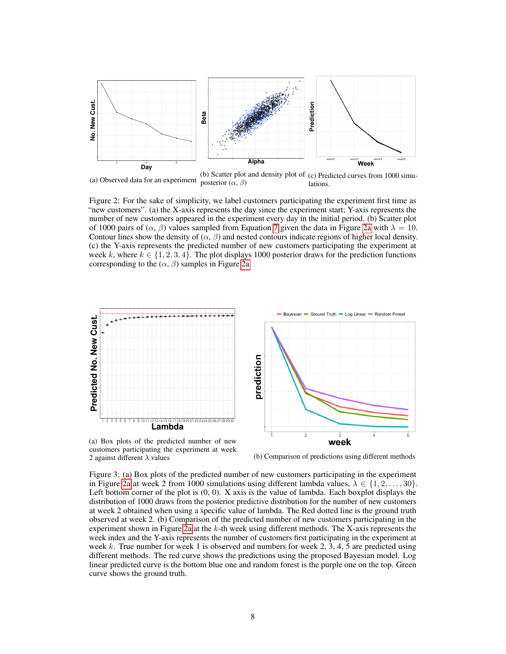<span id="page-7-0"></span>

(a) Observed data for an experiment (b) Scatter plot and density plot of (c) Predicted curves from 1000 simuposterior  $(\alpha, \beta)$ lations.

Figure 2: For the sake of simplicity, we label customers participating the experiment first time as "new customers". (a) the X-axis represents the day since the experiment start; Y-axis represents the number of new customers appeared in the experiment every day in the initial period. (b) Scatter plot of 1000 pairs of ( $\alpha$ ,  $\beta$ ) values sampled from Equation [7](#page-4-2) given the data in Figure [2a](#page-7-0) with  $\lambda = 10$ . Contour lines show the density of  $(\alpha, \beta)$  and nested contours indicate regions of higher local density. (c) the Y-axis represents the predicted number of new customers participating the experiment at week k, where  $k \in \{1, 2, 3, 4\}$ . The plot displays 1000 posterior draws for the prediction functions corresponding to the  $(\alpha, \beta)$  samples in Figure [2a.](#page-7-0)

<span id="page-7-1"></span>

customers participating the experiment at week<br>2 against different  $\lambda$  values

(b) Comparison of predictions using different methods

Figure 3: (a) Box plots of the predicted number of new customers participating in the experiment in Figure [2a](#page-7-0) at week 2 from 1000 simulations using different lambda values,  $\lambda \in \{1, 2, ..., 30\}$ . Left bottom corner of the plot is (0, 0). X axis is the value of lambda. Each boxplot displays the distribution of 1000 draws from the posterior predictive distribution for the number of new customers at week 2 obtained when using a specific value of lambda. The Red dotted line is the ground truth observed at week 2. (b) Comparison of the predicted number of new customers participating in the experiment shown in Figure [2a](#page-7-0) at the k-th week using different methods. The X-axis represents the week index and the Y-axis represents the number of customers first participating in the experiment at week k. True number for week 1 is observed and numbers for week 2, 3, 4, 5 are predicted using different methods. The red curve shows the predictions using the proposed Bayesian model. Log linear predicted curve is the bottom blue one and random forest is the purple one on the top. Green curve shows the ground truth.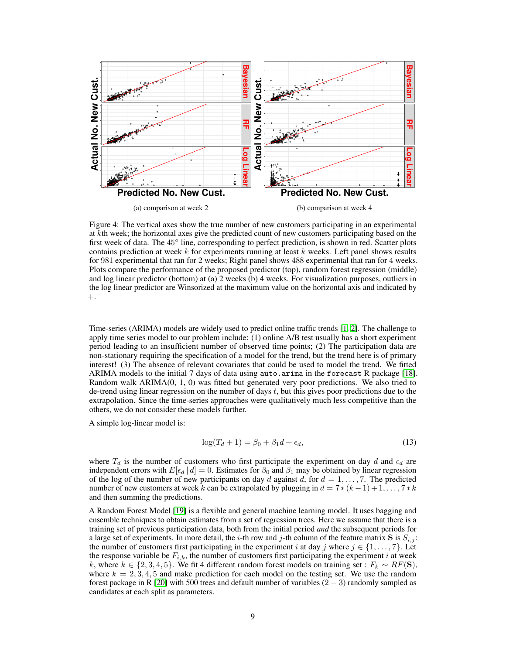<span id="page-8-0"></span>

Figure 4: The vertical axes show the true number of new customers participating in an experimental at kth week; the horizontal axes give the predicted count of new customers participating based on the first week of data. The 45° line, corresponding to perfect prediction, is shown in red. Scatter plots contains prediction at week  $k$  for experiments running at least  $k$  weeks. Left panel shows results for 981 experimental that ran for 2 weeks; Right panel shows 488 experimental that ran for 4 weeks. Plots compare the performance of the proposed predictor (top), random forest regression (middle) and log linear predictor (bottom) at (a) 2 weeks (b) 4 weeks. For visualization purposes, outliers in the log linear predictor are Winsorized at the maximum value on the horizontal axis and indicated by  $+$ .

Time-series (ARIMA) models are widely used to predict online traffic trends [\[1,](#page-10-0) [2\]](#page-10-1). The challenge to apply time series model to our problem include: (1) online A/B test usually has a short experiment period leading to an insufficient number of observed time points; (2) The participation data are non-stationary requiring the specification of a model for the trend, but the trend here is of primary interest! (3) The absence of relevant covariates that could be used to model the trend. We fitted ARIMA models to the initial 7 days of data using auto.arima in the forecast R package [\[18\]](#page-10-17). Random walk ARIMA(0, 1, 0) was fitted but generated very poor predictions. We also tried to de-trend using linear regression on the number of days  $t$ , but this gives poor predictions due to the extrapolation. Since the time-series approaches were qualitatively much less competitive than the others, we do not consider these models further.

A simple log-linear model is:

$$
\log(T_d + 1) = \beta_0 + \beta_1 d + \epsilon_d,\tag{13}
$$

where  $T_d$  is the number of customers who first participate the experiment on day d and  $\epsilon_d$  are independent errors with  $E[\epsilon_d | d] = 0$ . Estimates for  $\beta_0$  and  $\beta_1$  may be obtained by linear regression of the log of the number of new participants on day d against d, for  $d = 1, \ldots, 7$ . The predicted number of new customers at week k can be extrapolated by plugging in  $d = 7*(k-1)+1,\ldots,7*k$ and then summing the predictions.

A Random Forest Model [\[19\]](#page-10-18) is a flexible and general machine learning model. It uses bagging and ensemble techniques to obtain estimates from a set of regression trees. Here we assume that there is a training set of previous participation data, both from the initial period *and* the subsequent periods for a large set of experiments. In more detail, the i-th row and j-th column of the feature matrix S is  $S_{i,j}$ : the number of customers first participating in the experiment i at day j where  $j \in \{1, \ldots, 7\}$ . Let the response variable be  $F_{i,k}$ , the number of customers first participating the experiment i at week k, where  $k \in \{2, 3, 4, 5\}$ . We fit 4 different random forest models on training set :  $F_k \sim RF(S)$ , where  $k = 2, 3, 4, 5$  and make prediction for each model on the testing set. We use the random forest package in R [\[20\]](#page-10-19) with 500 trees and default number of variables  $(2 - 3)$  randomly sampled as candidates at each split as parameters.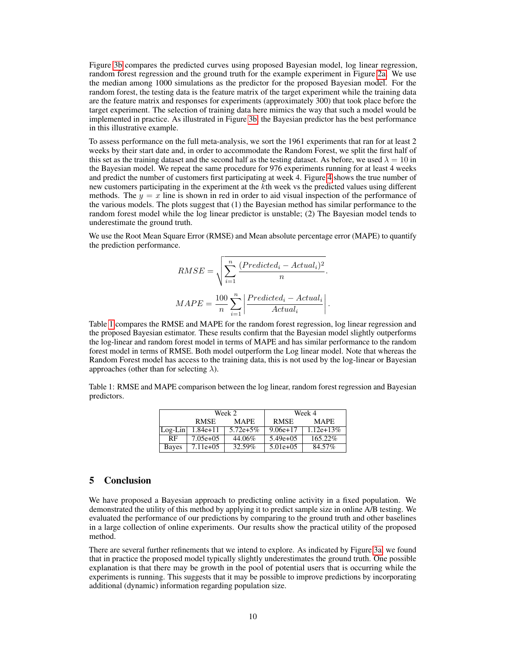Figure [3b](#page-7-1) compares the predicted curves using proposed Bayesian model, log linear regression, random forest regression and the ground truth for the example experiment in Figure [2a.](#page-7-0) We use the median among 1000 simulations as the predictor for the proposed Bayesian model. For the random forest, the testing data is the feature matrix of the target experiment while the training data are the feature matrix and responses for experiments (approximately 300) that took place before the target experiment. The selection of training data here mimics the way that such a model would be implemented in practice. As illustrated in Figure [3b,](#page-7-1) the Bayesian predictor has the best performance in this illustrative example.

To assess performance on the full meta-analysis, we sort the 1961 experiments that ran for at least 2 weeks by their start date and, in order to accommodate the Random Forest, we split the first half of this set as the training dataset and the second half as the testing dataset. As before, we used  $\lambda = 10$  in the Bayesian model. We repeat the same procedure for 976 experiments running for at least 4 weeks and predict the number of customers first participating at week 4. Figure [4](#page-8-0) shows the true number of new customers participating in the experiment at the kth week vs the predicted values using different methods. The  $y = x$  line is shown in red in order to aid visual inspection of the performance of the various models. The plots suggest that (1) the Bayesian method has similar performance to the random forest model while the log linear predictor is unstable; (2) The Bayesian model tends to underestimate the ground truth.

We use the Root Mean Square Error (RMSE) and Mean absolute percentage error (MAPE) to quantify the prediction performance.

$$
RMSE = \sqrt{\sum_{i=1}^{n} \frac{(Predicted_i - Actual_i)^2}{n}}.
$$

$$
MAPE = \frac{100}{n} \sum_{i=1}^{n} \left| \frac{Predicted_i - Actual_i}{Actual_i} \right|.
$$

Table [1](#page-9-0) compares the RMSE and MAPE for the random forest regression, log linear regression and the proposed Bayesian estimator. These results confirm that the Bayesian model slightly outperforms the log-linear and random forest model in terms of MAPE and has similar performance to the random forest model in terms of RMSE. Both model outperform the Log linear model. Note that whereas the Random Forest model has access to the training data, this is not used by the log-linear or Bayesian approaches (other than for selecting  $\lambda$ ).

<span id="page-9-0"></span>Table 1: RMSE and MAPE comparison between the log linear, random forest regression and Bayesian predictors.

|           | Week 2      |             | Week 4      |             |
|-----------|-------------|-------------|-------------|-------------|
|           | <b>RMSE</b> | <b>MAPE</b> | <b>RMSE</b> | <b>MAPE</b> |
| $Log-Lin$ | $1.84e+11$  | $5.72e+5%$  | $9.06e+17$  | $1.12e+13%$ |
| RF        | $7.05e+0.5$ | 44.06%      | $5.49e+05$  | 165.22%     |
| Bayes     | $7.11e+05$  | 32.59%      | $5.01e+0.5$ | 84.57%      |

#### 5 Conclusion

We have proposed a Bayesian approach to predicting online activity in a fixed population. We demonstrated the utility of this method by applying it to predict sample size in online A/B testing. We evaluated the performance of our predictions by comparing to the ground truth and other baselines in a large collection of online experiments. Our results show the practical utility of the proposed method.

There are several further refinements that we intend to explore. As indicated by Figure [3a,](#page-7-1) we found that in practice the proposed model typically slightly underestimates the ground truth. One possible explanation is that there may be growth in the pool of potential users that is occurring while the experiments is running. This suggests that it may be possible to improve predictions by incorporating additional (dynamic) information regarding population size.